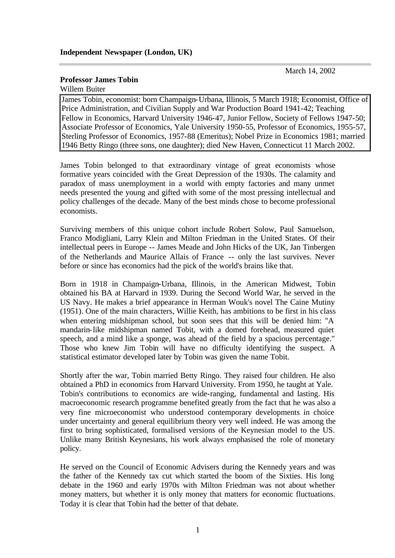March 14, 2002

## **Professor James Tobin**

Willem Buiter

James Tobin, economist: born Champaign-Urbana, Illinois, 5 March 1918; Economist, Office of Price Administration, and Civilian Supply and War Production Board 1941-42; Teaching Fellow in Economics, Harvard University 1946-47, Junior Fellow, Society of Fellows 1947-50; Associate Professor of Economics, Yale University 1950-55, Professor of Economics, 1955-57, Sterling Professor of Economics, 1957-88 (Emeritus); Nobel Prize in Economics 1981; married 1946 Betty Ringo (three sons, one daughter); died New Haven, Connecticut 11 March 2002.

James Tobin belonged to that extraordinary vintage of great economists whose formative years coincided with the Great Depression of the 1930s. The calamity and paradox of mass unemployment in a world with empty factories and many unmet needs presented the young and gifted with some of the most pressing intellectual and policy challenges of the decade. Many of the best minds chose to become professional economists.

Surviving members of this unique cohort include Robert Solow, Paul Samuelson, Franco Modigliani, Larry Klein and Milton Friedman in the United States. Of their intellectual peers in Europe -- James Meade and John Hicks of the UK, Jan Tinbergen of the Netherlands and Maurice Allais of France -- only the last survives. Never before or since has economics had the pick of the world's brains like that.

Born in 1918 in Champaign-Urbana, Illinois, in the American Midwest, Tobin obtained his BA at Harvard in 1939. During the Second World War, he served in the US Navy. He makes a brief appearance in Herman Wouk's novel The Caine Mutiny (1951). One of the main characters, Willie Keith, has ambitions to be first in his class when entering midshipman school, but soon sees that this will be denied him: "A mandarin-like midshipman named Tobit, with a domed forehead, measured quiet speech, and a mind like a sponge, was ahead of the field by a spacious percentage." Those who knew Jim Tobin will have no difficulty identifying the suspect. A statistical estimator developed later by Tobin was given the name Tobit.

Shortly after the war, Tobin married Betty Ringo. They raised four children. He also obtained a PhD in economics from Harvard University. From 1950, he taught at Yale. Tobin's contributions to economics are wide-ranging, fundamental and lasting. His macroeconomic research programme benefited greatly from the fact that he was also a very fine microeconomist who understood contemporary developments in choice under uncertainty and general equilibrium theory very well indeed. He was among the first to bring sophisticated, formalised versions of the Keynesian model to the US. Unlike many British Keynesians, his work always emphasised the role of monetary policy.

He served on the Council of Economic Advisers during the Kennedy years and was the father of the Kennedy tax cut which started the boom of the Sixties. His long debate in the 1960 and early 1970s with Milton Friedman was not about whether money matters, but whether it is only money that matters for economic fluctuations. Today it is clear that Tobin had the better of that debate.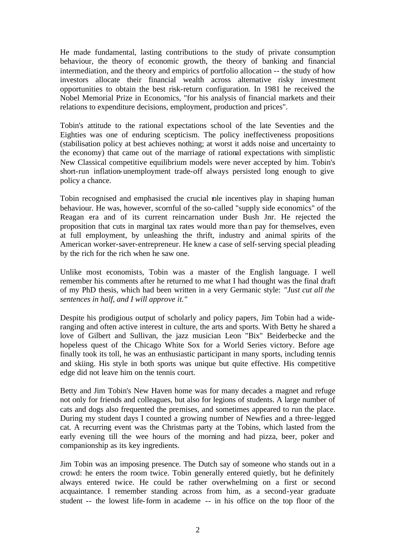He made fundamental, lasting contributions to the study of private consumption behaviour, the theory of economic growth, the theory of banking and financial intermediation, and the theory and empirics of portfolio allocation -- the study of how investors allocate their financial wealth across alternative risky investment opportunities to obtain the best risk-return configuration. In 1981 he received the Nobel Memorial Prize in Economics, "for his analysis of financial markets and their relations to expenditure decisions, employment, production and prices".

Tobin's attitude to the rational expectations school of the late Seventies and the Eighties was one of enduring scepticism. The policy ineffectiveness propositions (stabilisation policy at best achieves nothing; at worst it adds noise and uncertainty to the economy) that came out of the marriage of rational expectations with simplistic New Classical competitive equilibrium models were never accepted by him. Tobin's short-run inflation-unemployment trade-off always persisted long enough to give policy a chance.

Tobin recognised and emphasised the crucial role incentives play in shaping human behaviour. He was, however, scornful of the so-called "supply side economics" of the Reagan era and of its current reincarnation under Bush Jnr. He rejected the proposition that cuts in marginal tax rates would more than pay for themselves, even at full employment, by unleashing the thrift, industry and animal spirits of the American worker-saver-entrepreneur. He knew a case of self-serving special pleading by the rich for the rich when he saw one.

Unlike most economists, Tobin was a master of the English language. I well remember his comments after he returned to me what I had thought was the final draft of my PhD thesis, which had been written in a very Germanic style: *"Just cut all the sentences in half, and I will approve it."*

Despite his prodigious output of scholarly and policy papers, Jim Tobin had a wideranging and often active interest in culture, the arts and sports. With Betty he shared a love of Gilbert and Sullivan, the jazz musician Leon "Bix" Beiderbecke and the hopeless quest of the Chicago White Sox for a World Series victory. Before age finally took its toll, he was an enthusiastic participant in many sports, including tennis and skiing. His style in both sports was unique but quite effective. His competitive edge did not leave him on the tennis court.

Betty and Jim Tobin's New Haven home was for many decades a magnet and refuge not only for friends and colleagues, but also for legions of students. A large number of cats and dogs also frequented the premises, and sometimes appeared to run the place. During my student days I counted a growing number of Newfies and a three-legged cat. A recurring event was the Christmas party at the Tobins, which lasted from the early evening till the wee hours of the morning and had pizza, beer, poker and companionship as its key ingredients.

Jim Tobin was an imposing presence. The Dutch say of someone who stands out in a crowd: he enters the room twice. Tobin generally entered quietly, but he definitely always entered twice. He could be rather overwhelming on a first or second acquaintance. I remember standing across from him, as a second-year graduate student -- the lowest life-form in academe -- in his office on the top floor of the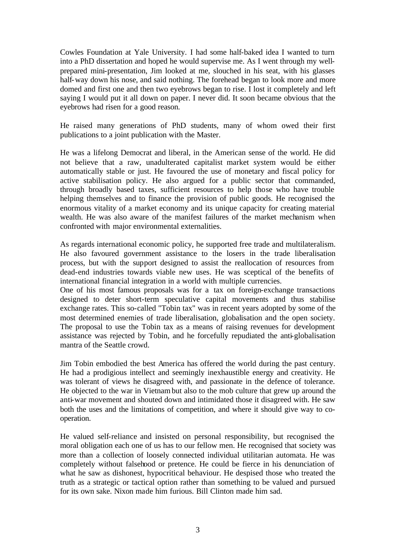Cowles Foundation at Yale University. I had some half-baked idea I wanted to turn into a PhD dissertation and hoped he would supervise me. As I went through my wellprepared mini-presentation, Jim looked at me, slouched in his seat, with his glasses half-way down his nose, and said nothing. The forehead began to look more and more domed and first one and then two eyebrows began to rise. I lost it completely and left saying I would put it all down on paper. I never did. It soon became obvious that the eyebrows had risen for a good reason.

He raised many generations of PhD students, many of whom owed their first publications to a joint publication with the Master.

He was a lifelong Democrat and liberal, in the American sense of the world. He did not believe that a raw, unadulterated capitalist market system would be either automatically stable or just. He favoured the use of monetary and fiscal policy for active stabilisation policy. He also argued for a public sector that commanded, through broadly based taxes, sufficient resources to help those who have trouble helping themselves and to finance the provision of public goods. He recognised the enormous vitality of a market economy and its unique capacity for creating material wealth. He was also aware of the manifest failures of the market mechanism when confronted with major environmental externalities.

As regards international economic policy, he supported free trade and multilateralism. He also favoured government assistance to the losers in the trade liberalisation process, but with the support designed to assist the reallocation of resources from dead-end industries towards viable new uses. He was sceptical of the benefits of international financial integration in a world with multiple currencies.

One of his most famous proposals was for a tax on foreign-exchange transactions designed to deter short-term speculative capital movements and thus stabilise exchange rates. This so-called "Tobin tax" was in recent years adopted by some of the most determined enemies of trade liberalisation, globalisation and the open society. The proposal to use the Tobin tax as a means of raising revenues for development assistance was rejected by Tobin, and he forcefully repudiated the anti-globalisation mantra of the Seattle crowd.

Jim Tobin embodied the best America has offered the world during the past century. He had a prodigious intellect and seemingly inexhaustible energy and creativity. He was tolerant of views he disagreed with, and passionate in the defence of tolerance. He objected to the war in Vietnam but also to the mob culture that grew up around the anti-war movement and shouted down and intimidated those it disagreed with. He saw both the uses and the limitations of competition, and where it should give way to cooperation.

He valued self-reliance and insisted on personal responsibility, but recognised the moral obligation each one of us has to our fellow men. He recognised that society was more than a collection of loosely connected individual utilitarian automata. He was completely without falsehood or pretence. He could be fierce in his denunciation of what he saw as dishonest, hypocritical behaviour. He despised those who treated the truth as a strategic or tactical option rather than something to be valued and pursued for its own sake. Nixon made him furious. Bill Clinton made him sad.